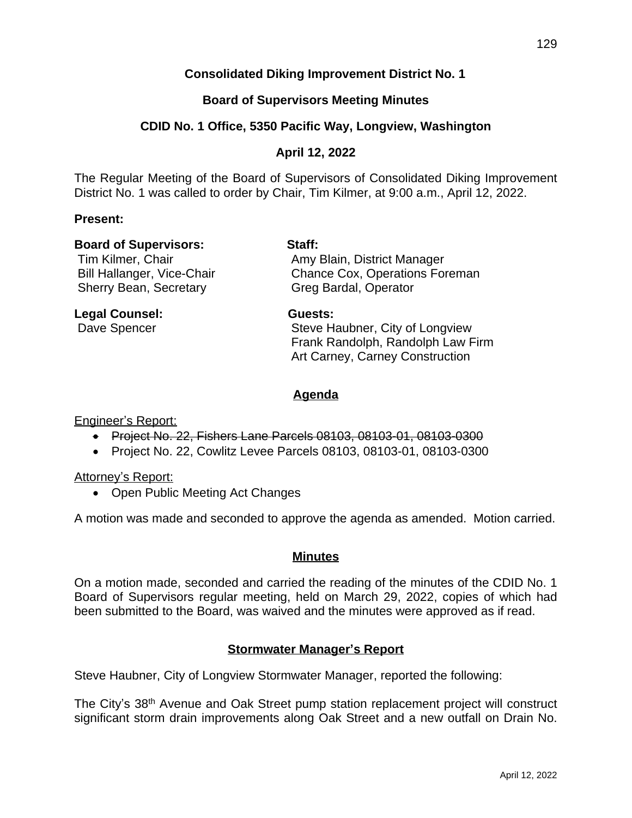# **Consolidated Diking Improvement District No. 1**

# **Board of Supervisors Meeting Minutes**

# **CDID No. 1 Office, 5350 Pacific Way, Longview, Washington**

# **April 12, 2022**

The Regular Meeting of the Board of Supervisors of Consolidated Diking Improvement District No. 1 was called to order by Chair, Tim Kilmer, at 9:00 a.m., April 12, 2022.

### **Present:**

### **Board of Supervisors: Staff:**

Sherry Bean, Secretary Greg Bardal, Operator

Tim Kilmer, Chair **Amy Blain, District Manager** Bill Hallanger, Vice-Chair Chance Cox, Operations Foreman

### **Legal Counsel: Guests:**

Dave Spencer Superstanding Steve Haubner, City of Longview Frank Randolph, Randolph Law Firm Art Carney, Carney Construction

# **Agenda**

Engineer's Report:

- Project No. 22, Fishers Lane Parcels 08103, 08103-01, 08103-0300
- Project No. 22, Cowlitz Levee Parcels 08103, 08103-01, 08103-0300

### Attorney's Report:

• Open Public Meeting Act Changes

A motion was made and seconded to approve the agenda as amended. Motion carried.

### **Minutes**

On a motion made, seconded and carried the reading of the minutes of the CDID No. 1 Board of Supervisors regular meeting, held on March 29, 2022, copies of which had been submitted to the Board, was waived and the minutes were approved as if read.

# **Stormwater Manager's Report**

Steve Haubner, City of Longview Stormwater Manager, reported the following:

The City's 38th Avenue and Oak Street pump station replacement project will construct significant storm drain improvements along Oak Street and a new outfall on Drain No.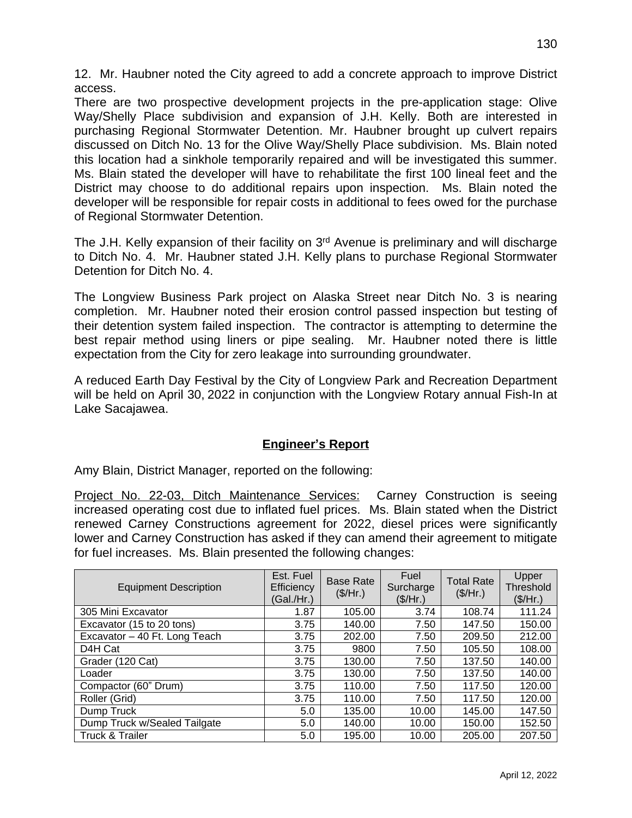12. Mr. Haubner noted the City agreed to add a concrete approach to improve District access.

There are two prospective development projects in the pre-application stage: Olive Way/Shelly Place subdivision and expansion of J.H. Kelly. Both are interested in purchasing Regional Stormwater Detention. Mr. Haubner brought up culvert repairs discussed on Ditch No. 13 for the Olive Way/Shelly Place subdivision. Ms. Blain noted this location had a sinkhole temporarily repaired and will be investigated this summer. Ms. Blain stated the developer will have to rehabilitate the first 100 lineal feet and the District may choose to do additional repairs upon inspection. Ms. Blain noted the developer will be responsible for repair costs in additional to fees owed for the purchase of Regional Stormwater Detention.

The J.H. Kelly expansion of their facility on 3<sup>rd</sup> Avenue is preliminary and will discharge to Ditch No. 4. Mr. Haubner stated J.H. Kelly plans to purchase Regional Stormwater Detention for Ditch No. 4.

The Longview Business Park project on Alaska Street near Ditch No. 3 is nearing completion. Mr. Haubner noted their erosion control passed inspection but testing of their detention system failed inspection. The contractor is attempting to determine the best repair method using liners or pipe sealing. Mr. Haubner noted there is little expectation from the City for zero leakage into surrounding groundwater.

A reduced Earth Day Festival by the City of Longview Park and Recreation Department will be held on April 30, 2022 in conjunction with the Longview Rotary annual Fish-In at Lake Sacajawea.

# **Engineer's Report**

Amy Blain, District Manager, reported on the following:

Project No. 22-03, Ditch Maintenance Services: Carney Construction is seeing increased operating cost due to inflated fuel prices. Ms. Blain stated when the District renewed Carney Constructions agreement for 2022, diesel prices were significantly lower and Carney Construction has asked if they can amend their agreement to mitigate for fuel increases. Ms. Blain presented the following changes:

| <b>Equipment Description</b>  | Est. Fuel<br>Efficiency<br>(Gal./Hr.) | <b>Base Rate</b><br>(\$/Hr.) | Fuel<br>Surcharge<br>(\$/Hr.) | <b>Total Rate</b><br>(\$/Hr.) | Upper<br>Threshold<br>(\$/Hr.) |
|-------------------------------|---------------------------------------|------------------------------|-------------------------------|-------------------------------|--------------------------------|
| 305 Mini Excavator            | 1.87                                  | 105.00                       | 3.74                          | 108.74                        | 111.24                         |
| Excavator (15 to 20 tons)     | 3.75                                  | 140.00                       | 7.50                          | 147.50                        | 150.00                         |
| Excavator - 40 Ft. Long Teach | 3.75                                  | 202.00                       | 7.50                          | 209.50                        | 212.00                         |
| D <sub>4</sub> H Cat          | 3.75                                  | 9800                         | 7.50                          | 105.50                        | 108.00                         |
| Grader (120 Cat)              | 3.75                                  | 130.00                       | 7.50                          | 137.50                        | 140.00                         |
| Loader                        | 3.75                                  | 130.00                       | 7.50                          | 137.50                        | 140.00                         |
| Compactor (60" Drum)          | 3.75                                  | 110.00                       | 7.50                          | 117.50                        | 120.00                         |
| Roller (Grid)                 | 3.75                                  | 110.00                       | 7.50                          | 117.50                        | 120.00                         |
| Dump Truck                    | 5.0                                   | 135.00                       | 10.00                         | 145.00                        | 147.50                         |
| Dump Truck w/Sealed Tailgate  | 5.0                                   | 140.00                       | 10.00                         | 150.00                        | 152.50                         |
| <b>Truck &amp; Trailer</b>    | 5.0                                   | 195.00                       | 10.00                         | 205.00                        | 207.50                         |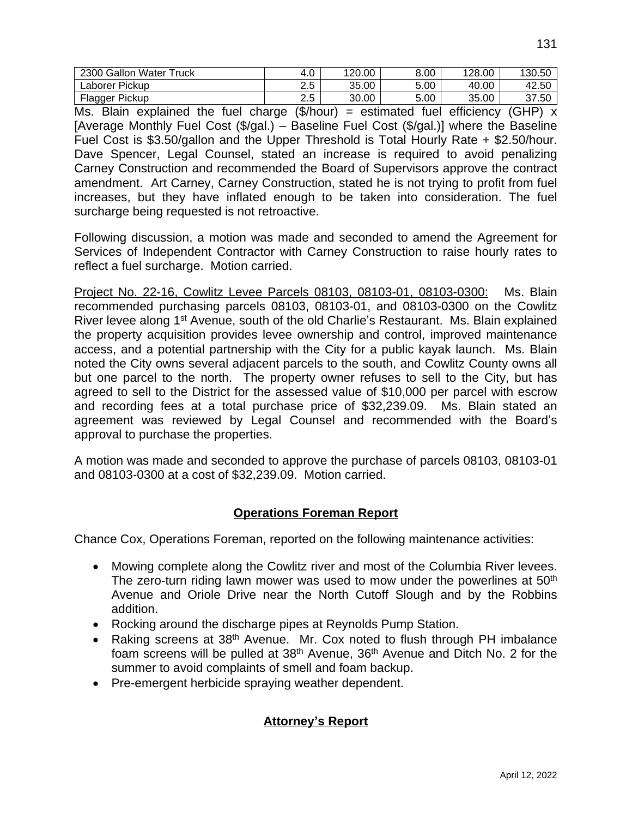| 2300 Gallon Water Truck | 4.0                        | 120.00 | 8.00 | 128.00 | 130.50 |
|-------------------------|----------------------------|--------|------|--------|--------|
| Laborer Pickup          | Ε<br>$\sim$<br>د.ء         | 35.00  | 5.00 | 40.00  | 42.50  |
| Flagger Pickup          | $\overline{ }$<br>⌒<br>ں.ء | 30.00  | 5.00 | 35.00  | 37.50  |

Ms. Blain explained the fuel charge  $(\frac{1}{2}$ hour) = estimated fuel efficiency (GHP) x [Average Monthly Fuel Cost (\$/gal.) – Baseline Fuel Cost (\$/gal.)] where the Baseline Fuel Cost is \$3.50/gallon and the Upper Threshold is Total Hourly Rate + \$2.50/hour. Dave Spencer, Legal Counsel, stated an increase is required to avoid penalizing Carney Construction and recommended the Board of Supervisors approve the contract amendment. Art Carney, Carney Construction, stated he is not trying to profit from fuel increases, but they have inflated enough to be taken into consideration. The fuel surcharge being requested is not retroactive.

Following discussion, a motion was made and seconded to amend the Agreement for Services of Independent Contractor with Carney Construction to raise hourly rates to reflect a fuel surcharge. Motion carried.

Project No. 22-16, Cowlitz Levee Parcels 08103, 08103-01, 08103-0300: Ms. Blain recommended purchasing parcels 08103, 08103-01, and 08103-0300 on the Cowlitz River levee along 1<sup>st</sup> Avenue, south of the old Charlie's Restaurant. Ms. Blain explained the property acquisition provides levee ownership and control, improved maintenance access, and a potential partnership with the City for a public kayak launch. Ms. Blain noted the City owns several adjacent parcels to the south, and Cowlitz County owns all but one parcel to the north. The property owner refuses to sell to the City, but has agreed to sell to the District for the assessed value of \$10,000 per parcel with escrow and recording fees at a total purchase price of \$32,239.09. Ms. Blain stated an agreement was reviewed by Legal Counsel and recommended with the Board's approval to purchase the properties.

A motion was made and seconded to approve the purchase of parcels 08103, 08103-01 and 08103-0300 at a cost of \$32,239.09. Motion carried.

# **Operations Foreman Report**

Chance Cox, Operations Foreman, reported on the following maintenance activities:

- Mowing complete along the Cowlitz river and most of the Columbia River levees. The zero-turn riding lawn mower was used to mow under the powerlines at 50<sup>th</sup> Avenue and Oriole Drive near the North Cutoff Slough and by the Robbins addition.
- Rocking around the discharge pipes at Reynolds Pump Station.
- Raking screens at 38<sup>th</sup> Avenue. Mr. Cox noted to flush through PH imbalance foam screens will be pulled at 38<sup>th</sup> Avenue, 36<sup>th</sup> Avenue and Ditch No. 2 for the summer to avoid complaints of smell and foam backup.
- Pre-emergent herbicide spraying weather dependent.

# **Attorney's Report**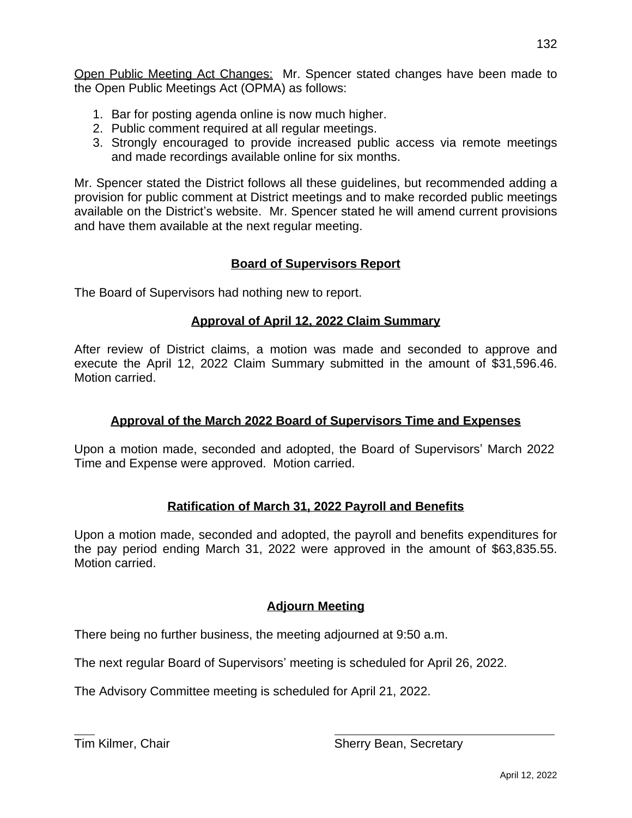Open Public Meeting Act Changes: Mr. Spencer stated changes have been made to the Open Public Meetings Act (OPMA) as follows:

- 1. Bar for posting agenda online is now much higher.
- 2. Public comment required at all regular meetings.
- 3. Strongly encouraged to provide increased public access via remote meetings and made recordings available online for six months.

Mr. Spencer stated the District follows all these guidelines, but recommended adding a provision for public comment at District meetings and to make recorded public meetings available on the District's website. Mr. Spencer stated he will amend current provisions and have them available at the next regular meeting.

# **Board of Supervisors Report**

The Board of Supervisors had nothing new to report.

# **Approval of April 12, 2022 Claim Summary**

After review of District claims, a motion was made and seconded to approve and execute the April 12, 2022 Claim Summary submitted in the amount of \$31,596.46. Motion carried.

# **Approval of the March 2022 Board of Supervisors Time and Expenses**

Upon a motion made, seconded and adopted, the Board of Supervisors' March 2022 Time and Expense were approved. Motion carried.

# **Ratification of March 31, 2022 Payroll and Benefits**

Upon a motion made, seconded and adopted, the payroll and benefits expenditures for the pay period ending March 31, 2022 were approved in the amount of \$63,835.55. Motion carried.

# **Adjourn Meeting**

There being no further business, the meeting adjourned at 9:50 a.m.

The next regular Board of Supervisors' meeting is scheduled for April 26, 2022.

The Advisory Committee meeting is scheduled for April 21, 2022.

 $\overline{a}$